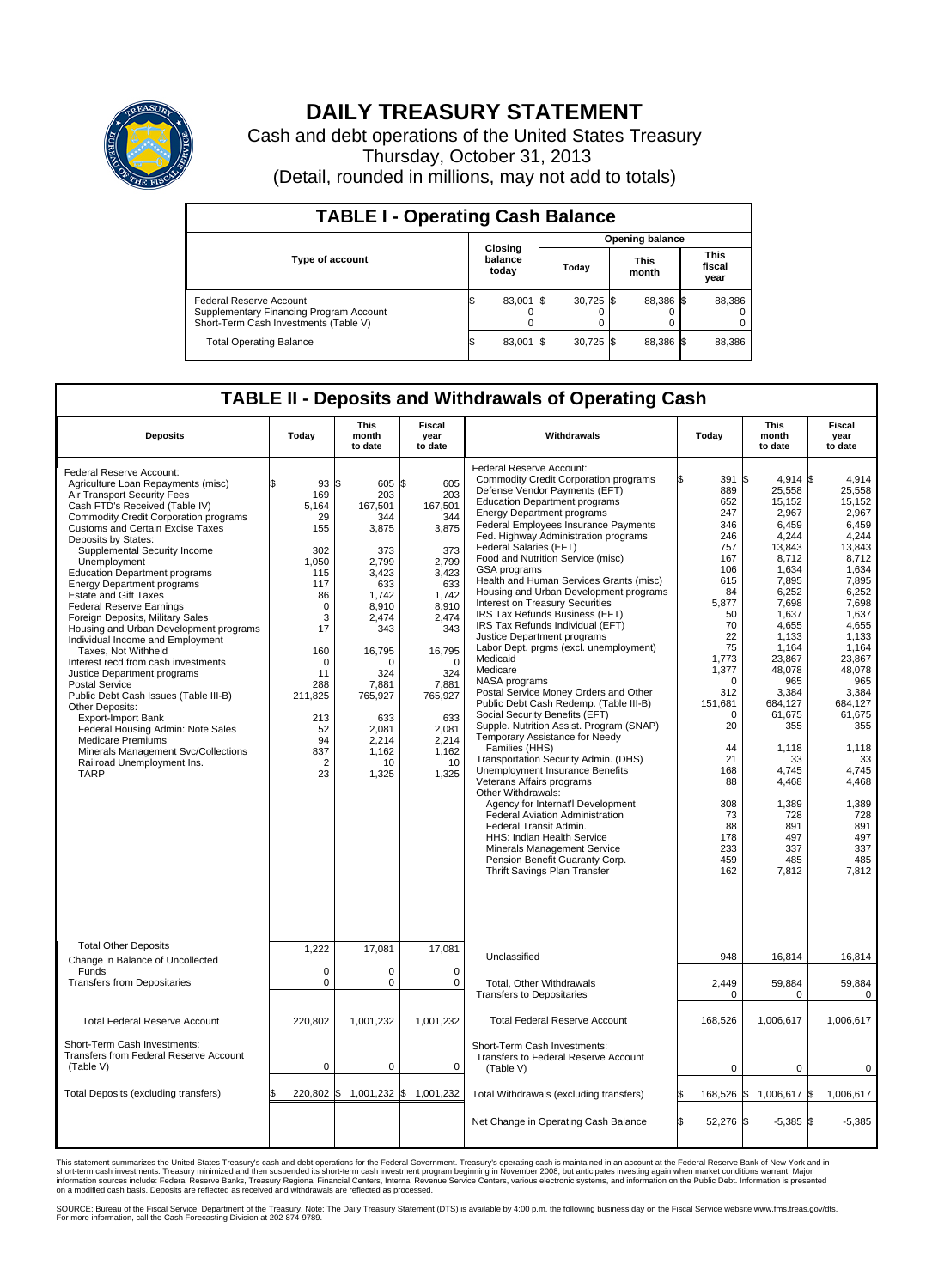

## **DAILY TREASURY STATEMENT**

Cash and debt operations of the United States Treasury Thursday, October 31, 2013 (Detail, rounded in millions, may not add to totals)

| <b>TABLE I - Operating Cash Balance</b>                                                                     |  |                             |       |             |  |                      |  |                               |  |  |  |  |
|-------------------------------------------------------------------------------------------------------------|--|-----------------------------|-------|-------------|--|----------------------|--|-------------------------------|--|--|--|--|
| <b>Opening balance</b>                                                                                      |  |                             |       |             |  |                      |  |                               |  |  |  |  |
| <b>Type of account</b>                                                                                      |  | Closing<br>balance<br>today | Today |             |  | <b>This</b><br>month |  | <b>This</b><br>fiscal<br>year |  |  |  |  |
| Federal Reserve Account<br>Supplementary Financing Program Account<br>Short-Term Cash Investments (Table V) |  | 83,001 \$                   |       | $30,725$ \$ |  | 88.386 \$            |  | 88,386                        |  |  |  |  |
| <b>Total Operating Balance</b>                                                                              |  | 83,001 \$                   |       | $30,725$ \$ |  | 88,386 \$            |  | 88,386                        |  |  |  |  |

## **TABLE II - Deposits and Withdrawals of Operating Cash**

| <b>Deposits</b>                                                                                                                                                                                                                                                                                                                                                                                                                                                                                                                                                                                                                                                                                                                                                                                                                                                                                                           | Today                                                                                                                                                                                              | <b>This</b><br>month<br>to date                                                                                                                                                                       | Fiscal<br>year<br>to date                                                                                                                                                                                 | Withdrawals                                                                                                                                                                                                                                                                                                                                                                                                                                                                                                                                                                                                                                                                                                                                                                                                                                                                                                                                                                                                                                                                                                                                                                                                                                                                                  | Today                                                                                                                                                                                                                                                          | <b>This</b><br>month<br>to date                                                                                                                                                                                                                                                                                  | <b>Fiscal</b><br>year<br>to date                                                                                                                                                                                                                                                                      |
|---------------------------------------------------------------------------------------------------------------------------------------------------------------------------------------------------------------------------------------------------------------------------------------------------------------------------------------------------------------------------------------------------------------------------------------------------------------------------------------------------------------------------------------------------------------------------------------------------------------------------------------------------------------------------------------------------------------------------------------------------------------------------------------------------------------------------------------------------------------------------------------------------------------------------|----------------------------------------------------------------------------------------------------------------------------------------------------------------------------------------------------|-------------------------------------------------------------------------------------------------------------------------------------------------------------------------------------------------------|-----------------------------------------------------------------------------------------------------------------------------------------------------------------------------------------------------------|----------------------------------------------------------------------------------------------------------------------------------------------------------------------------------------------------------------------------------------------------------------------------------------------------------------------------------------------------------------------------------------------------------------------------------------------------------------------------------------------------------------------------------------------------------------------------------------------------------------------------------------------------------------------------------------------------------------------------------------------------------------------------------------------------------------------------------------------------------------------------------------------------------------------------------------------------------------------------------------------------------------------------------------------------------------------------------------------------------------------------------------------------------------------------------------------------------------------------------------------------------------------------------------------|----------------------------------------------------------------------------------------------------------------------------------------------------------------------------------------------------------------------------------------------------------------|------------------------------------------------------------------------------------------------------------------------------------------------------------------------------------------------------------------------------------------------------------------------------------------------------------------|-------------------------------------------------------------------------------------------------------------------------------------------------------------------------------------------------------------------------------------------------------------------------------------------------------|
| Federal Reserve Account:<br>Agriculture Loan Repayments (misc)<br>Air Transport Security Fees<br>Cash FTD's Received (Table IV)<br><b>Commodity Credit Corporation programs</b><br><b>Customs and Certain Excise Taxes</b><br>Deposits by States:<br>Supplemental Security Income<br>Unemployment<br><b>Education Department programs</b><br><b>Energy Department programs</b><br><b>Estate and Gift Taxes</b><br><b>Federal Reserve Earnings</b><br>Foreign Deposits, Military Sales<br>Housing and Urban Development programs<br>Individual Income and Employment<br>Taxes. Not Withheld<br>Interest recd from cash investments<br>Justice Department programs<br>Postal Service<br>Public Debt Cash Issues (Table III-B)<br>Other Deposits:<br>Export-Import Bank<br>Federal Housing Admin: Note Sales<br><b>Medicare Premiums</b><br>Minerals Management Svc/Collections<br>Railroad Unemployment Ins.<br><b>TARP</b> | \$<br>93 S<br>169<br>5,164<br>29<br>155<br>302<br>1.050<br>115<br>117<br>86<br>$\mathbf 0$<br>3<br>17<br>160<br>$\Omega$<br>11<br>288<br>211,825<br>213<br>52<br>94<br>837<br>$\overline{2}$<br>23 | 605 \$<br>203<br>167,501<br>344<br>3,875<br>373<br>2.799<br>3,423<br>633<br>1,742<br>8,910<br>2,474<br>343<br>16,795<br>n<br>324<br>7,881<br>765,927<br>633<br>2.081<br>2,214<br>1.162<br>10<br>1,325 | 605<br>203<br>167,501<br>344<br>3,875<br>373<br>2.799<br>3,423<br>633<br>1,742<br>8,910<br>2,474<br>343<br>16,795<br>$\Omega$<br>324<br>7,881<br>765,927<br>633<br>2.081<br>2,214<br>1,162<br>10<br>1,325 | Federal Reserve Account:<br><b>Commodity Credit Corporation programs</b><br>Defense Vendor Payments (EFT)<br><b>Education Department programs</b><br><b>Energy Department programs</b><br><b>Federal Employees Insurance Payments</b><br>Fed. Highway Administration programs<br>Federal Salaries (EFT)<br>Food and Nutrition Service (misc)<br><b>GSA</b> programs<br>Health and Human Services Grants (misc)<br>Housing and Urban Development programs<br>Interest on Treasury Securities<br>IRS Tax Refunds Business (EFT)<br>IRS Tax Refunds Individual (EFT)<br>Justice Department programs<br>Labor Dept. prgms (excl. unemployment)<br>Medicaid<br>Medicare<br>NASA programs<br>Postal Service Money Orders and Other<br>Public Debt Cash Redemp. (Table III-B)<br>Social Security Benefits (EFT)<br>Supple. Nutrition Assist. Program (SNAP)<br>Temporary Assistance for Needy<br>Families (HHS)<br>Transportation Security Admin. (DHS)<br><b>Unemployment Insurance Benefits</b><br>Veterans Affairs programs<br>Other Withdrawals:<br>Agency for Internat'l Development<br>Federal Aviation Administration<br>Federal Transit Admin.<br><b>HHS: Indian Health Service</b><br>Minerals Management Service<br>Pension Benefit Guaranty Corp.<br><b>Thrift Savings Plan Transfer</b> | 391<br>ß<br>889<br>652<br>247<br>346<br>246<br>757<br>167<br>106<br>615<br>84<br>5,877<br>50<br>70<br>22<br>75<br>1,773<br>1,377<br>$\mathbf 0$<br>312<br>151,681<br>$\mathbf 0$<br>20<br>44<br>21<br>168<br>88<br>308<br>73<br>88<br>178<br>233<br>459<br>162 | \$<br>$4,914$ \$<br>25,558<br>15,152<br>2,967<br>6.459<br>4,244<br>13,843<br>8,712<br>1.634<br>7,895<br>6,252<br>7,698<br>1,637<br>4,655<br>1.133<br>1,164<br>23,867<br>48,078<br>965<br>3,384<br>684.127<br>61,675<br>355<br>1,118<br>33<br>4.745<br>4,468<br>1,389<br>728<br>891<br>497<br>337<br>485<br>7,812 | 4,914<br>25.558<br>15,152<br>2,967<br>6.459<br>4.244<br>13,843<br>8,712<br>1.634<br>7,895<br>6,252<br>7,698<br>1.637<br>4,655<br>1.133<br>1,164<br>23.867<br>48.078<br>965<br>3,384<br>684.127<br>61,675<br>355<br>1,118<br>33<br>4.745<br>4,468<br>1,389<br>728<br>891<br>497<br>337<br>485<br>7.812 |
| <b>Total Other Deposits</b><br>Change in Balance of Uncollected                                                                                                                                                                                                                                                                                                                                                                                                                                                                                                                                                                                                                                                                                                                                                                                                                                                           | 1,222                                                                                                                                                                                              | 17,081                                                                                                                                                                                                | 17,081                                                                                                                                                                                                    | Unclassified                                                                                                                                                                                                                                                                                                                                                                                                                                                                                                                                                                                                                                                                                                                                                                                                                                                                                                                                                                                                                                                                                                                                                                                                                                                                                 | 948                                                                                                                                                                                                                                                            | 16,814                                                                                                                                                                                                                                                                                                           | 16,814                                                                                                                                                                                                                                                                                                |
| Funds<br><b>Transfers from Depositaries</b>                                                                                                                                                                                                                                                                                                                                                                                                                                                                                                                                                                                                                                                                                                                                                                                                                                                                               | $\mathbf 0$<br>0                                                                                                                                                                                   | $\Omega$<br>0                                                                                                                                                                                         | $\Omega$<br>$\mathbf 0$                                                                                                                                                                                   | Total, Other Withdrawals<br><b>Transfers to Depositaries</b>                                                                                                                                                                                                                                                                                                                                                                                                                                                                                                                                                                                                                                                                                                                                                                                                                                                                                                                                                                                                                                                                                                                                                                                                                                 | 2,449<br>$\mathbf 0$                                                                                                                                                                                                                                           | 59,884<br>$\mathbf 0$                                                                                                                                                                                                                                                                                            | 59,884<br>$\Omega$                                                                                                                                                                                                                                                                                    |
| <b>Total Federal Reserve Account</b>                                                                                                                                                                                                                                                                                                                                                                                                                                                                                                                                                                                                                                                                                                                                                                                                                                                                                      | 220,802                                                                                                                                                                                            | 1,001,232                                                                                                                                                                                             | 1,001,232                                                                                                                                                                                                 | <b>Total Federal Reserve Account</b>                                                                                                                                                                                                                                                                                                                                                                                                                                                                                                                                                                                                                                                                                                                                                                                                                                                                                                                                                                                                                                                                                                                                                                                                                                                         | 168,526                                                                                                                                                                                                                                                        | 1,006,617                                                                                                                                                                                                                                                                                                        | 1,006,617                                                                                                                                                                                                                                                                                             |
| Short-Term Cash Investments:<br>Transfers from Federal Reserve Account<br>(Table V)                                                                                                                                                                                                                                                                                                                                                                                                                                                                                                                                                                                                                                                                                                                                                                                                                                       | $\mathbf 0$                                                                                                                                                                                        | 0                                                                                                                                                                                                     | 0                                                                                                                                                                                                         | Short-Term Cash Investments:<br><b>Transfers to Federal Reserve Account</b><br>(Table V)                                                                                                                                                                                                                                                                                                                                                                                                                                                                                                                                                                                                                                                                                                                                                                                                                                                                                                                                                                                                                                                                                                                                                                                                     | 0                                                                                                                                                                                                                                                              | $\mathbf 0$                                                                                                                                                                                                                                                                                                      | 0                                                                                                                                                                                                                                                                                                     |
| Total Deposits (excluding transfers)                                                                                                                                                                                                                                                                                                                                                                                                                                                                                                                                                                                                                                                                                                                                                                                                                                                                                      | \$<br>220,802 \$                                                                                                                                                                                   | 1,001,232 \$                                                                                                                                                                                          | 1,001,232                                                                                                                                                                                                 | Total Withdrawals (excluding transfers)                                                                                                                                                                                                                                                                                                                                                                                                                                                                                                                                                                                                                                                                                                                                                                                                                                                                                                                                                                                                                                                                                                                                                                                                                                                      | 168,526 \$                                                                                                                                                                                                                                                     | 1,006,617 \$                                                                                                                                                                                                                                                                                                     | 1,006,617                                                                                                                                                                                                                                                                                             |
|                                                                                                                                                                                                                                                                                                                                                                                                                                                                                                                                                                                                                                                                                                                                                                                                                                                                                                                           |                                                                                                                                                                                                    |                                                                                                                                                                                                       |                                                                                                                                                                                                           | Net Change in Operating Cash Balance                                                                                                                                                                                                                                                                                                                                                                                                                                                                                                                                                                                                                                                                                                                                                                                                                                                                                                                                                                                                                                                                                                                                                                                                                                                         | Ŝ.<br>52,276 \$                                                                                                                                                                                                                                                | $-5,385$                                                                                                                                                                                                                                                                                                         | 1\$<br>$-5,385$                                                                                                                                                                                                                                                                                       |

This statement summarizes the United States Treasury's cash and debt operations for the Federal Government. Treasury's operating cash is maintained in an account at the Federal Reserve Bank of New York and in<br>informetion c

SOURCE: Bureau of the Fiscal Service, Department of the Treasury. Note: The Daily Treasury Statement (DTS) is available by 4:00 p.m. the following business day on the Fiscal Service website www.fms.treas.gov/dts.<br>For more